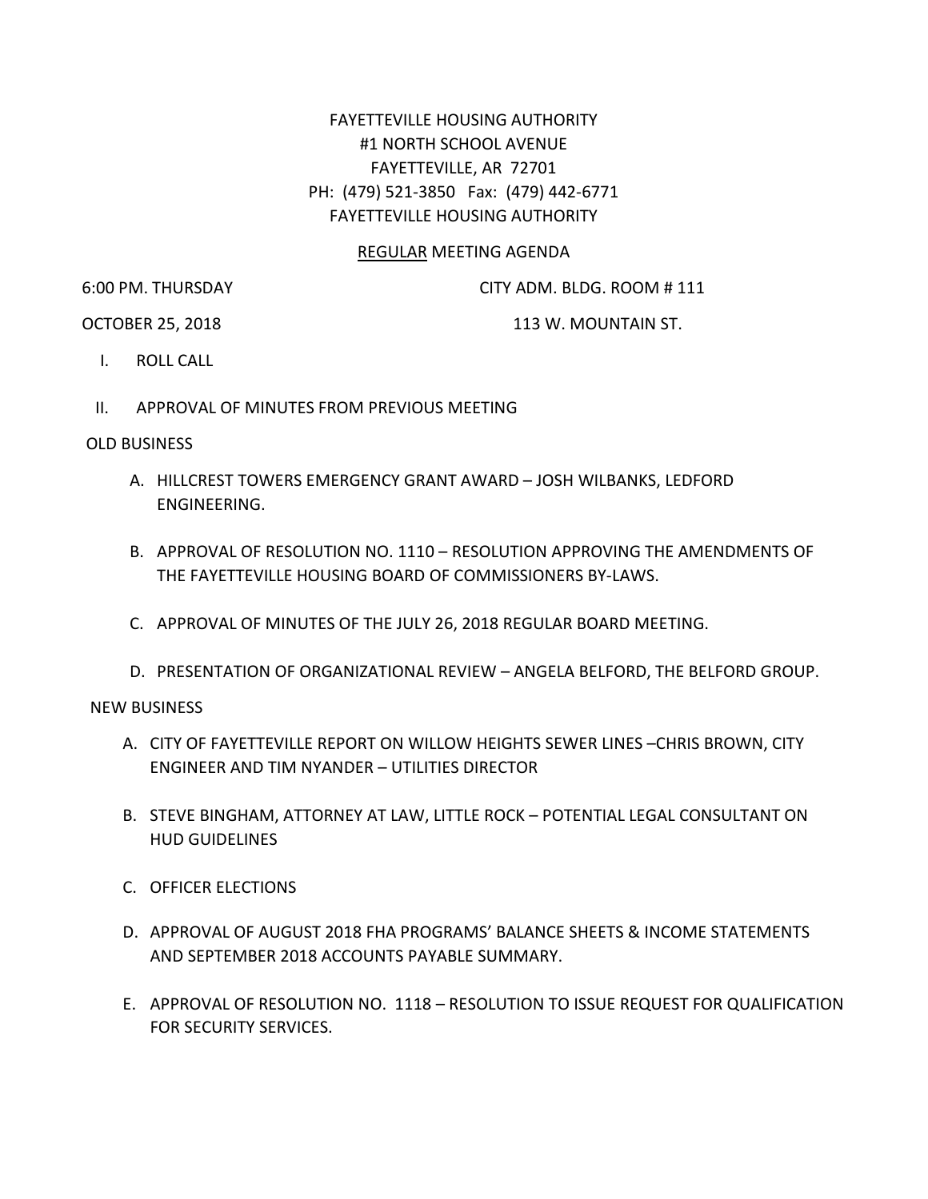## FAYETTEVILLE HOUSING AUTHORITY #1 NORTH SCHOOL AVENUE FAYETTEVILLE, AR 72701 PH: (479) 521-3850 Fax: (479) 442-6771 FAYETTEVILLE HOUSING AUTHORITY

## REGULAR MEETING AGENDA

6:00 PM. THURSDAY CITY ADM. BLDG. ROOM # 111

OCTOBER 25, 2018 113 W. MOUNTAIN ST.

- I. ROLL CALL
- II. APPROVAL OF MINUTES FROM PREVIOUS MEETING

## OLD BUSINESS

- A. HILLCREST TOWERS EMERGENCY GRANT AWARD JOSH WILBANKS, LEDFORD ENGINEERING.
- B. APPROVAL OF RESOLUTION NO. 1110 RESOLUTION APPROVING THE AMENDMENTS OF THE FAYETTEVILLE HOUSING BOARD OF COMMISSIONERS BY-LAWS.
- C. APPROVAL OF MINUTES OF THE JULY 26, 2018 REGULAR BOARD MEETING.
- D. PRESENTATION OF ORGANIZATIONAL REVIEW ANGELA BELFORD, THE BELFORD GROUP.

## NEW BUSINESS

- A. CITY OF FAYETTEVILLE REPORT ON WILLOW HEIGHTS SEWER LINES –CHRIS BROWN, CITY ENGINEER AND TIM NYANDER – UTILITIES DIRECTOR
- B. STEVE BINGHAM, ATTORNEY AT LAW, LITTLE ROCK POTENTIAL LEGAL CONSULTANT ON HUD GUIDELINES
- C. OFFICER ELECTIONS
- D. APPROVAL OF AUGUST 2018 FHA PROGRAMS' BALANCE SHEETS & INCOME STATEMENTS AND SEPTEMBER 2018 ACCOUNTS PAYABLE SUMMARY.
- E. APPROVAL OF RESOLUTION NO. 1118 RESOLUTION TO ISSUE REQUEST FOR QUALIFICATION FOR SECURITY SERVICES.